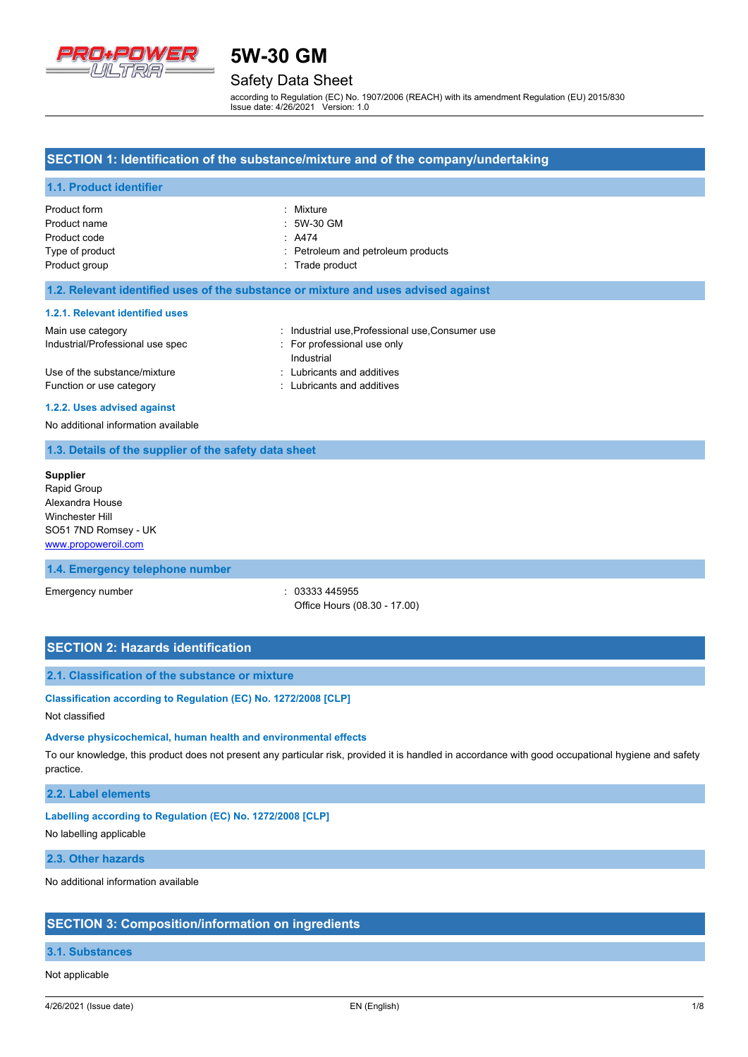

# Safety Data Sheet

according to Regulation (EC) No. 1907/2006 (REACH) with its amendment Regulation (EU) 2015/830 Issue date: 4/26/2021 Version: 1.0

# **SECTION 1: Identification of the substance/mixture and of the company/undertaking**

## **1.1. Product identifier**

| Product form    | : Mixture                          |
|-----------------|------------------------------------|
| Product name    | : 5W-30 GM                         |
| Product code    | $\therefore$ A474                  |
| Type of product | : Petroleum and petroleum products |
| Product group   | : Trade product                    |

## **1.2. Relevant identified uses of the substance or mixture and uses advised against**

### **1.2.1. Relevant identified uses**

| Main use category                | : Industrial use, Professional use, Consumer use |
|----------------------------------|--------------------------------------------------|
| Industrial/Professional use spec | : For professional use only                      |
|                                  | Industrial                                       |
| Use of the substance/mixture     | : Lubricants and additives                       |
| Function or use category         | : Lubricants and additives                       |

#### **1.2.2. Uses advised against**

No additional information available

## **1.3. Details of the supplier of the safety data sheet**

**Supplier** Rapid Group Alexandra House Winchester Hill SO51 7ND Romsey - UK <www.propoweroil.com>

## **1.4. Emergency telephone number**

Emergency number : 03333 445955 Office Hours (08.30 - 17.00)

# **SECTION 2: Hazards identification**

## **2.1. Classification of the substance or mixture**

**Classification according to Regulation (EC) No. 1272/2008 [CLP]**

## Not classified

### **Adverse physicochemical, human health and environmental effects**

To our knowledge, this product does not present any particular risk, provided it is handled in accordance with good occupational hygiene and safety practice.

## **2.2. Label elements**

## **Labelling according to Regulation (EC) No. 1272/2008 [CLP]**

No labelling applicable

# **2.3. Other hazards**

No additional information available

## **SECTION 3: Composition/information on ingredients**

## **3.1. Substances**

Not applicable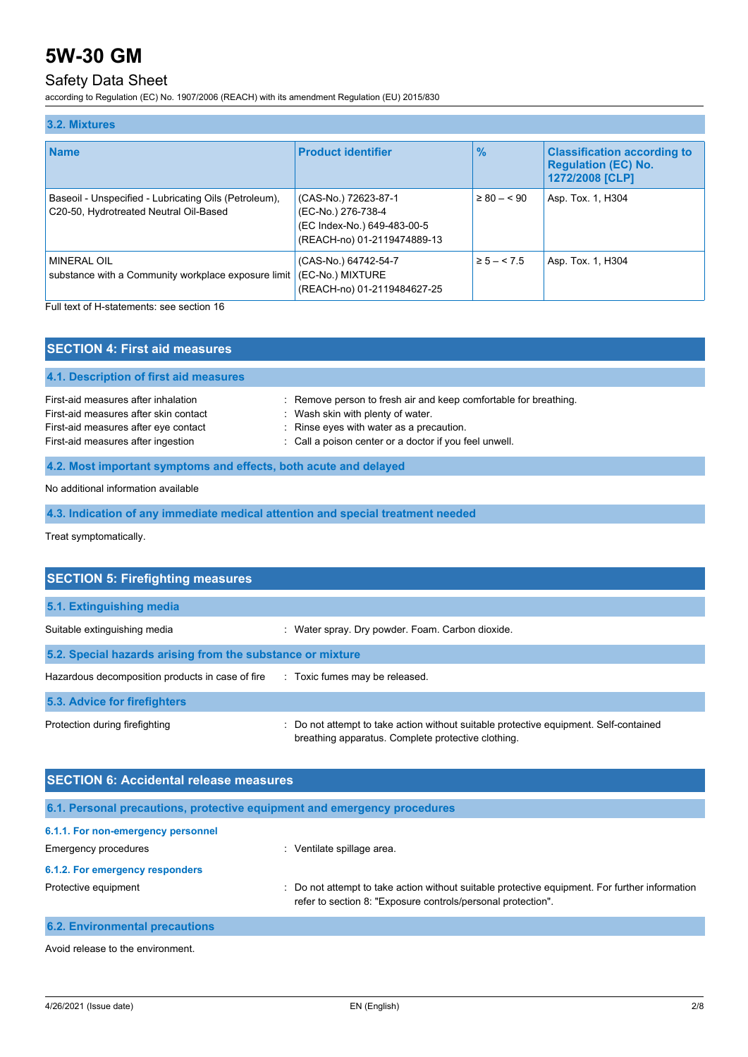# Safety Data Sheet

according to Regulation (EC) No. 1907/2006 (REACH) with its amendment Regulation (EU) 2015/830

| 3.2. Mixtures                                                                                   |                                                                                                          |                 |                                                                                     |  |
|-------------------------------------------------------------------------------------------------|----------------------------------------------------------------------------------------------------------|-----------------|-------------------------------------------------------------------------------------|--|
| <b>Name</b>                                                                                     | <b>Product identifier</b>                                                                                | $\frac{9}{6}$   | <b>Classification according to</b><br><b>Regulation (EC) No.</b><br>1272/2008 [CLP] |  |
| Baseoil - Unspecified - Lubricating Oils (Petroleum),<br>C20-50, Hydrotreated Neutral Oil-Based | (CAS-No.) 72623-87-1<br>(EC-No.) 276-738-4<br>(EC Index-No.) 649-483-00-5<br>(REACH-no) 01-2119474889-13 | $\geq 80 - 590$ | Asp. Tox. 1, H304                                                                   |  |
| MINERAL OIL<br>substance with a Community workplace exposure limit                              | (CAS-No.) 64742-54-7<br>(EC-No.) MIXTURE<br>(REACH-no) 01-2119484627-25                                  | $\ge 5 - 5.5$   | Asp. Tox. 1, H304                                                                   |  |

Full text of H-statements: see section 16

| <b>SECTION 4: First aid measures</b>                                                                                                                       |                                                                                                                                                                                                             |
|------------------------------------------------------------------------------------------------------------------------------------------------------------|-------------------------------------------------------------------------------------------------------------------------------------------------------------------------------------------------------------|
| 4.1. Description of first aid measures                                                                                                                     |                                                                                                                                                                                                             |
| First-aid measures after inhalation<br>First-aid measures after skin contact<br>First-aid measures after eye contact<br>First-aid measures after ingestion | : Remove person to fresh air and keep comfortable for breathing.<br>: Wash skin with plenty of water.<br>: Rinse eyes with water as a precaution.<br>: Call a poison center or a doctor if you feel unwell. |
| 4.2. Most important symptoms and effects, both acute and delayed                                                                                           |                                                                                                                                                                                                             |
| No additional information available                                                                                                                        |                                                                                                                                                                                                             |

**4.3. Indication of any immediate medical attention and special treatment needed**

Treat symptomatically.

| <b>SECTION 5: Firefighting measures</b>                    |                                                                                                                                             |
|------------------------------------------------------------|---------------------------------------------------------------------------------------------------------------------------------------------|
| 5.1. Extinguishing media                                   |                                                                                                                                             |
| Suitable extinguishing media                               | : Water spray. Dry powder. Foam. Carbon dioxide.                                                                                            |
| 5.2. Special hazards arising from the substance or mixture |                                                                                                                                             |
| Hazardous decomposition products in case of fire           | : Toxic fumes may be released.                                                                                                              |
| 5.3. Advice for firefighters                               |                                                                                                                                             |
| Protection during firefighting                             | : Do not attempt to take action without suitable protective equipment. Self-contained<br>breathing apparatus. Complete protective clothing. |

| <b>SECTION 6: Accidental release measures</b> |                                                                                                                                                                |  |  |
|-----------------------------------------------|----------------------------------------------------------------------------------------------------------------------------------------------------------------|--|--|
|                                               | 6.1. Personal precautions, protective equipment and emergency procedures                                                                                       |  |  |
| 6.1.1. For non-emergency personnel            |                                                                                                                                                                |  |  |
| <b>Emergency procedures</b>                   | Ventilate spillage area.                                                                                                                                       |  |  |
| 6.1.2. For emergency responders               |                                                                                                                                                                |  |  |
| Protective equipment                          | : Do not attempt to take action without suitable protective equipment. For further information<br>refer to section 8: "Exposure controls/personal protection". |  |  |
| <b>6.2. Environmental precautions</b>         |                                                                                                                                                                |  |  |

Avoid release to the environment.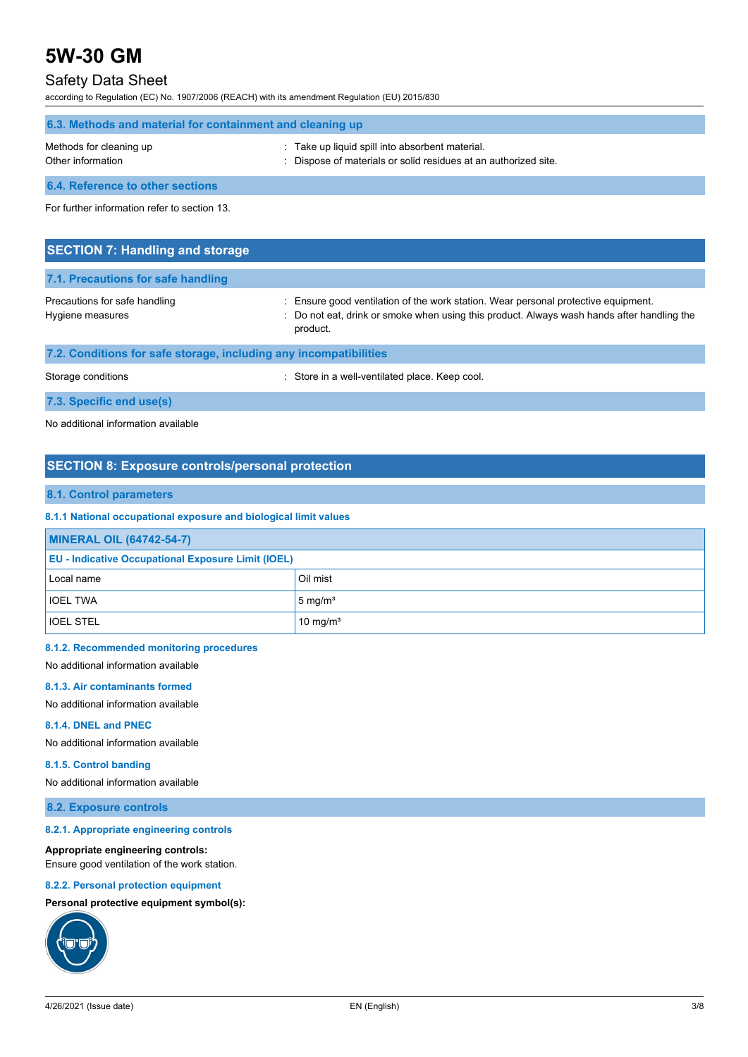# Safety Data Sheet

according to Regulation (EC) No. 1907/2006 (REACH) with its amendment Regulation (EU) 2015/830

| 6.3. Methods and material for containment and cleaning up |                                                                                                                  |  |  |
|-----------------------------------------------------------|------------------------------------------------------------------------------------------------------------------|--|--|
| Methods for cleaning up<br>Other information              | Take up liquid spill into absorbent material.<br>: Dispose of materials or solid residues at an authorized site. |  |  |
| <b>6.4. Reference to other sections</b>                   |                                                                                                                  |  |  |

For further information refer to section 13.

| <b>SECTION 7: Handling and storage</b>                            |                                                                                                                                                                                              |
|-------------------------------------------------------------------|----------------------------------------------------------------------------------------------------------------------------------------------------------------------------------------------|
| 7.1. Precautions for safe handling                                |                                                                                                                                                                                              |
| Precautions for safe handling<br>Hygiene measures                 | : Ensure good ventilation of the work station. Wear personal protective equipment.<br>: Do not eat, drink or smoke when using this product. Always wash hands after handling the<br>product. |
| 7.2. Conditions for safe storage, including any incompatibilities |                                                                                                                                                                                              |
| Storage conditions                                                | : Store in a well-ventilated place. Keep cool.                                                                                                                                               |

**7.3. Specific end use(s)**

No additional information available

# **SECTION 8: Exposure controls/personal protection**

# **8.1. Control parameters**

# **8.1.1 National occupational exposure and biological limit values**

| <b>MINERAL OIL (64742-54-7)</b>                           |                      |  |
|-----------------------------------------------------------|----------------------|--|
| <b>EU - Indicative Occupational Exposure Limit (IOEL)</b> |                      |  |
| Local name                                                | Oil mist             |  |
| <b>IOEL TWA</b>                                           | $5 \text{ mg/m}^3$   |  |
| <b>IOEL STEL</b>                                          | 10 mg/m <sup>3</sup> |  |

#### **8.1.2. Recommended monitoring procedures**

No additional information available

#### **8.1.3. Air contaminants formed**

No additional information available

### **8.1.4. DNEL and PNEC**

No additional information available

## **8.1.5. Control banding**

No additional information available

## **8.2. Exposure controls**

## **8.2.1. Appropriate engineering controls**

### **Appropriate engineering controls:**

Ensure good ventilation of the work station.

## **8.2.2. Personal protection equipment**

# **Personal protective equipment symbol(s):**

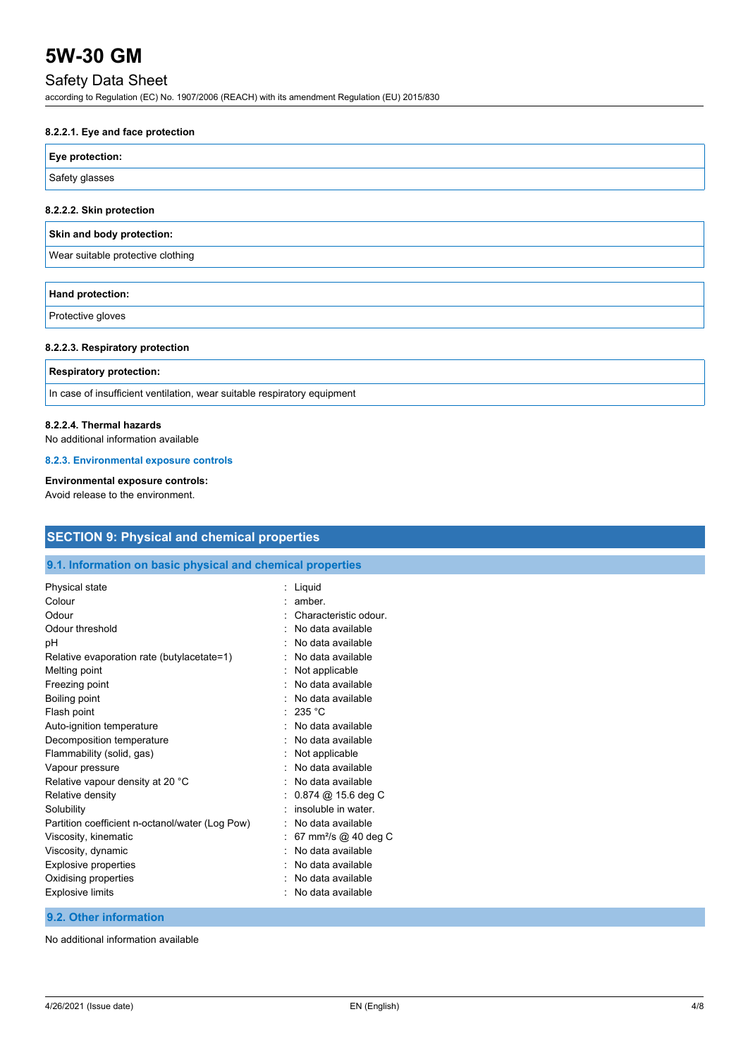# Safety Data Sheet

according to Regulation (EC) No. 1907/2006 (REACH) with its amendment Regulation (EU) 2015/830

## **8.2.2.1. Eye and face protection**

| Eye protection: |  |
|-----------------|--|
| Safety glasses  |  |

## **8.2.2.2. Skin protection**

|  | Skin and body protection: |
|--|---------------------------|
|  |                           |

Wear suitable protective clothing

| Hand protection: |  |  |
|------------------|--|--|
| $D = 4 + 4$      |  |  |

Protective gloves

### **8.2.2.3. Respiratory protection**

### **Respiratory protection:**

In case of insufficient ventilation, wear suitable respiratory equipment

## **8.2.2.4. Thermal hazards**

No additional information available

### **8.2.3. Environmental exposure controls**

# **Environmental exposure controls:**

Avoid release to the environment.

| <b>SECTION 9: Physical and chemical properties</b>         |                                  |  |
|------------------------------------------------------------|----------------------------------|--|
| 9.1. Information on basic physical and chemical properties |                                  |  |
| Physical state                                             | Liquid                           |  |
| Colour                                                     | amber.                           |  |
| Odour                                                      | Characteristic odour.            |  |
| Odour threshold                                            | No data available                |  |
| pH                                                         | No data available                |  |
| Relative evaporation rate (butylacetate=1)                 | No data available                |  |
| Melting point                                              | Not applicable                   |  |
| Freezing point                                             | No data available                |  |
| Boiling point                                              | No data available                |  |
| Flash point                                                | 235 °C                           |  |
| Auto-ignition temperature                                  | No data available                |  |
| Decomposition temperature                                  | No data available                |  |
| Flammability (solid, gas)                                  | Not applicable                   |  |
| Vapour pressure                                            | No data available                |  |
| Relative vapour density at 20 °C                           | No data available                |  |
| Relative density                                           | 0.874 @ 15.6 deg C               |  |
| Solubility                                                 | insoluble in water               |  |
| Partition coefficient n-octanol/water (Log Pow)            | No data available                |  |
| Viscosity, kinematic                                       | 67 mm <sup>2</sup> /s @ 40 deg C |  |
| Viscosity, dynamic                                         | No data available                |  |
| Explosive properties                                       | No data available                |  |
| Oxidising properties                                       | No data available                |  |
| <b>Explosive limits</b>                                    | No data available                |  |

# **9.2. Other information**

No additional information available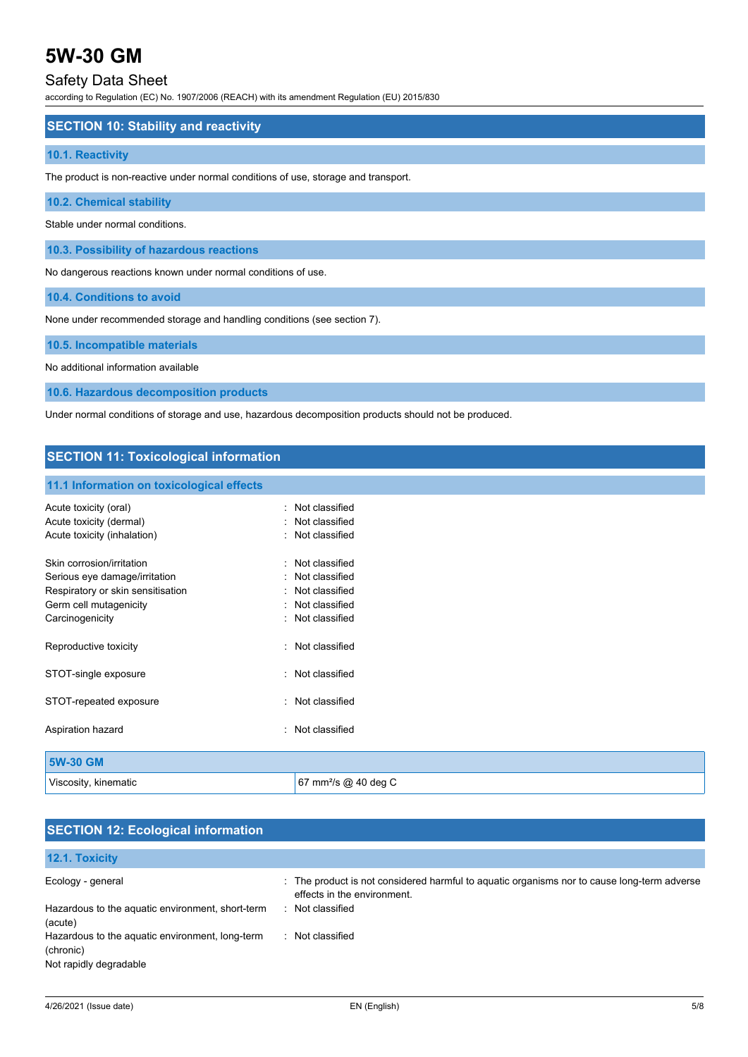# Safety Data Sheet

according to Regulation (EC) No. 1907/2006 (REACH) with its amendment Regulation (EU) 2015/830

## **SECTION 10: Stability and reactivity**

## **10.1. Reactivity**

The product is non-reactive under normal conditions of use, storage and transport.

# **10.2. Chemical stability**

Stable under normal conditions.

**10.3. Possibility of hazardous reactions**

No dangerous reactions known under normal conditions of use.

**10.4. Conditions to avoid**

None under recommended storage and handling conditions (see section 7).

## **10.5. Incompatible materials**

No additional information available

**10.6. Hazardous decomposition products**

Under normal conditions of storage and use, hazardous decomposition products should not be produced.

# **SECTION 11: Toxicological information**

#### **11.1 Information on toxicological effects**

| Acute toxicity (oral)<br>Acute toxicity (dermal)<br>Acute toxicity (inhalation)                                                              |   | Not classified<br>Not classified<br>Not classified                                     |
|----------------------------------------------------------------------------------------------------------------------------------------------|---|----------------------------------------------------------------------------------------|
| Skin corrosion/irritation<br>Serious eye damage/irritation<br>Respiratory or skin sensitisation<br>Germ cell mutagenicity<br>Carcinogenicity |   | Not classified<br>Not classified<br>Not classified<br>Not classified<br>Not classified |
| Reproductive toxicity                                                                                                                        | ٠ | Not classified                                                                         |
| STOT-single exposure                                                                                                                         |   | Not classified                                                                         |
| STOT-repeated exposure                                                                                                                       | ۰ | Not classified                                                                         |
| Aspiration hazard                                                                                                                            |   | Not classified                                                                         |
| 5W-30 GM                                                                                                                                     |   |                                                                                        |

Viscosity, kinematic **67 mm**<sup>2</sup>/s @ 40 deg C

| <b>SECTION 12: Ecological information</b>                  |                                                                                             |
|------------------------------------------------------------|---------------------------------------------------------------------------------------------|
| 12.1. Toxicity                                             |                                                                                             |
| Ecology - general                                          | : The product is not considered harmful to aquatic organisms nor to cause long-term adverse |
| Hazardous to the aquatic environment, short-term           | effects in the environment.<br>Not classified<br>$\mathcal{F}_{\mathcal{A}}$                |
| (acute)<br>Hazardous to the aquatic environment, long-term | Not classified<br>٠.                                                                        |
| (chronic)<br>Not rapidly degradable                        |                                                                                             |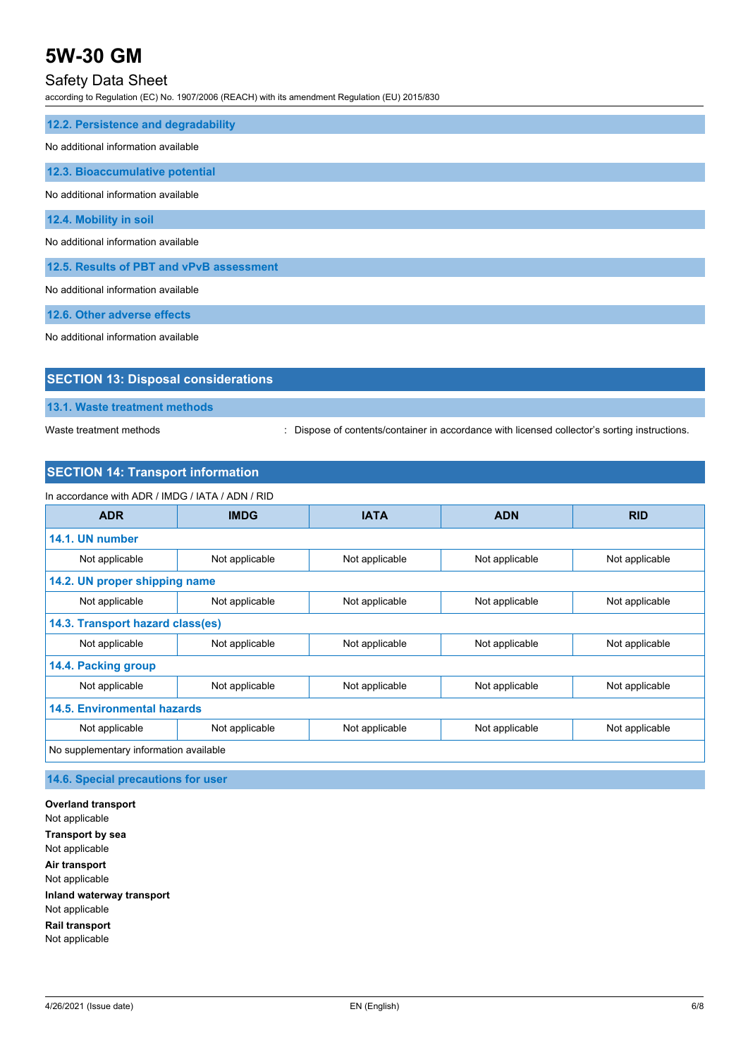# Safety Data Sheet

according to Regulation (EC) No. 1907/2006 (REACH) with its amendment Regulation (EU) 2015/830

| 12.2. Persistence and degradability      |
|------------------------------------------|
| No additional information available      |
| 12.3. Bioaccumulative potential          |
| No additional information available      |
| 12.4. Mobility in soil                   |
| No additional information available      |
| 12.5. Results of PBT and vPvB assessment |
| No additional information available      |
| 12.6. Other adverse effects              |

No additional information available

| <b>SECTION 13: Disposal considerations</b> |  |  |
|--------------------------------------------|--|--|
| 13.1. Waste treatment methods              |  |  |

Waste treatment methods : Dispose of contents/container in accordance with licensed collector's sorting instructions.

# **SECTION 14: Transport information**

| In accordance with ADR / IMDG / IATA / ADN / RID |                |                |                |                |
|--------------------------------------------------|----------------|----------------|----------------|----------------|
| <b>ADR</b>                                       | <b>IMDG</b>    | <b>IATA</b>    | <b>ADN</b>     | <b>RID</b>     |
| 14.1. UN number                                  |                |                |                |                |
| Not applicable                                   | Not applicable | Not applicable | Not applicable | Not applicable |
| 14.2. UN proper shipping name                    |                |                |                |                |
| Not applicable                                   | Not applicable | Not applicable | Not applicable | Not applicable |
| 14.3. Transport hazard class(es)                 |                |                |                |                |
| Not applicable                                   | Not applicable | Not applicable | Not applicable | Not applicable |
| 14.4. Packing group                              |                |                |                |                |
| Not applicable                                   | Not applicable | Not applicable | Not applicable | Not applicable |
| 14.5. Environmental hazards                      |                |                |                |                |
| Not applicable                                   | Not applicable | Not applicable | Not applicable | Not applicable |
| No supplementary information available           |                |                |                |                |

**14.6. Special precautions for user**

**Overland transport** Not applicable **Transport by sea** Not applicable **Air transport** Not applicable **Inland waterway transport** Not applicable **Rail transport** Not applicable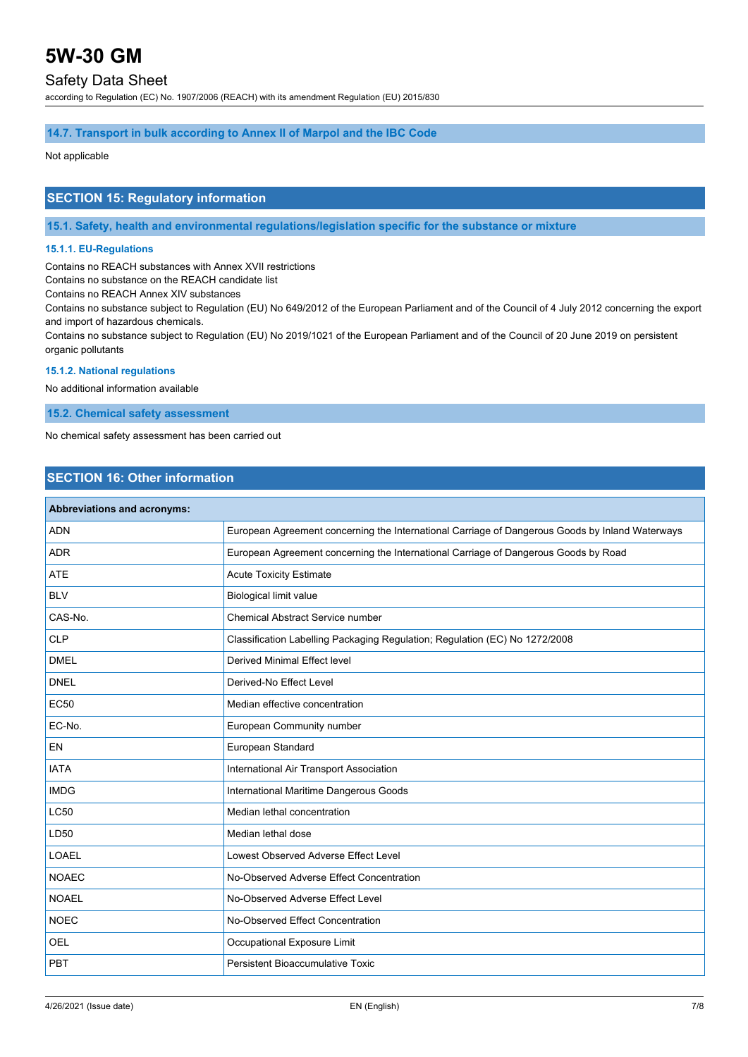# Safety Data Sheet

according to Regulation (EC) No. 1907/2006 (REACH) with its amendment Regulation (EU) 2015/830

## **14.7. Transport in bulk according to Annex II of Marpol and the IBC Code**

Not applicable

# **SECTION 15: Regulatory information**

**15.1. Safety, health and environmental regulations/legislation specific for the substance or mixture**

### **15.1.1. EU-Regulations**

Contains no REACH substances with Annex XVII restrictions

Contains no substance on the REACH candidate list

Contains no REACH Annex XIV substances

Contains no substance subject to Regulation (EU) No 649/2012 of the European Parliament and of the Council of 4 July 2012 concerning the export and import of hazardous chemicals.

Contains no substance subject to Regulation (EU) No 2019/1021 of the European Parliament and of the Council of 20 June 2019 on persistent organic pollutants

# **15.1.2. National regulations**

No additional information available

**15.2. Chemical safety assessment**

No chemical safety assessment has been carried out

# **SECTION 16: Other information**

| Abbreviations and acronyms: |                                                                                                 |
|-----------------------------|-------------------------------------------------------------------------------------------------|
| <b>ADN</b>                  | European Agreement concerning the International Carriage of Dangerous Goods by Inland Waterways |
| <b>ADR</b>                  | European Agreement concerning the International Carriage of Dangerous Goods by Road             |
| <b>ATE</b>                  | <b>Acute Toxicity Estimate</b>                                                                  |
| <b>BLV</b>                  | <b>Biological limit value</b>                                                                   |
| CAS-No.                     | <b>Chemical Abstract Service number</b>                                                         |
| <b>CLP</b>                  | Classification Labelling Packaging Regulation; Regulation (EC) No 1272/2008                     |
| <b>DMEL</b>                 | <b>Derived Minimal Effect level</b>                                                             |
| <b>DNEL</b>                 | Derived-No Effect Level                                                                         |
| <b>EC50</b>                 | Median effective concentration                                                                  |
| EC-No.                      | European Community number                                                                       |
| EN                          | European Standard                                                                               |
| <b>IATA</b>                 | International Air Transport Association                                                         |
| <b>IMDG</b>                 | International Maritime Dangerous Goods                                                          |
| <b>LC50</b>                 | Median lethal concentration                                                                     |
| LD50                        | Median lethal dose                                                                              |
| <b>LOAEL</b>                | Lowest Observed Adverse Effect Level                                                            |
| <b>NOAEC</b>                | No-Observed Adverse Effect Concentration                                                        |
| <b>NOAEL</b>                | No-Observed Adverse Effect Level                                                                |
| <b>NOEC</b>                 | No-Observed Effect Concentration                                                                |
| OEL                         | Occupational Exposure Limit                                                                     |
| PBT                         | Persistent Bioaccumulative Toxic                                                                |
|                             |                                                                                                 |